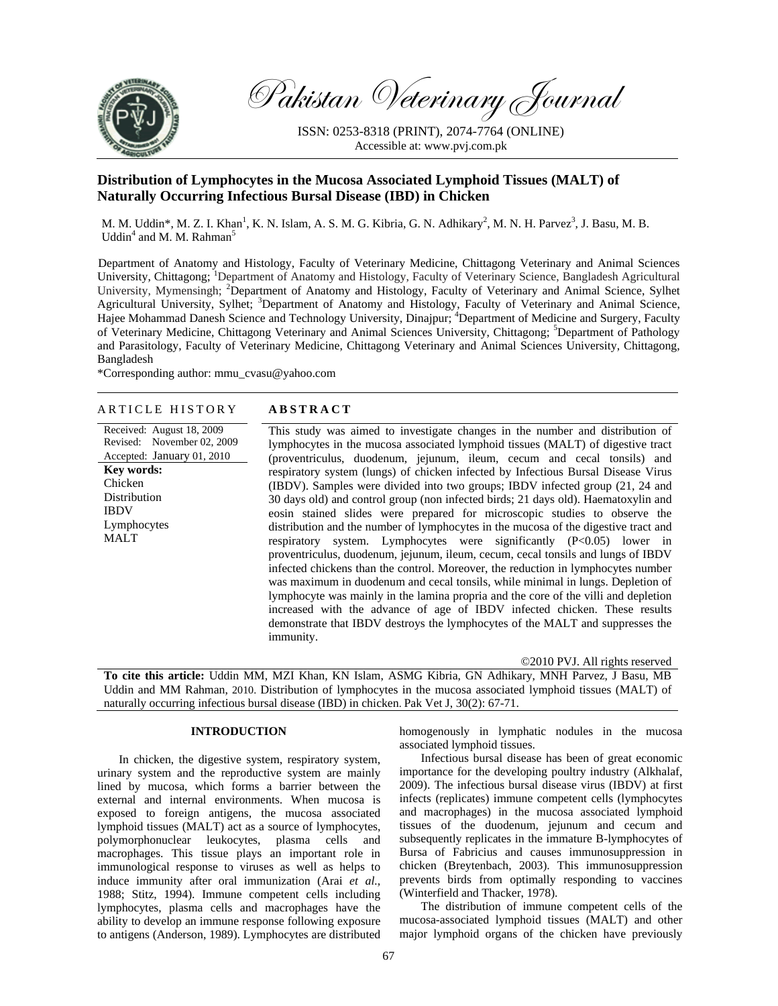

Lymphocytes MALT

Pakistan Veterinary Journal

ISSN: 0253-8318 (PRINT), 2074-7764 (ONLINE) Accessible at: www.pvj.com.pk

# **Distribution of Lymphocytes in the Mucosa Associated Lymphoid Tissues (MALT) of Naturally Occurring Infectious Bursal Disease (IBD) in Chicken**

M. M. Uddin\*, M. Z. I. Khan<sup>1</sup>, K. N. Islam, A. S. M. G. Kibria, G. N. Adhikary<sup>2</sup>, M. N. H. Parvez<sup>3</sup>, J. Basu, M. B. Uddin<sup>4</sup> and M. M. Rahman<sup>5</sup>

Department of Anatomy and Histology, Faculty of Veterinary Medicine, Chittagong Veterinary and Animal Sciences University, Chittagong; <sup>1</sup>Department of Anatomy and Histology, Faculty of Veterinary Science, Bangladesh Agricultural University, Mymensingh; <sup>2</sup>Department of Anatomy and Histology, Faculty of Veterinary and Animal Science, Sylhet Agricultural University, Sylhet; <sup>3</sup>Department of Anatomy and Histology, Faculty of Veterinary and Animal Science, Hajee Mohammad Danesh Science and Technology University, Dinajpur; <sup>4</sup>Department of Medicine and Surgery, Faculty of Veterinary Medicine, Chittagong Veterinary and Animal Sciences University, Chittagong; <sup>5</sup>Department of Pathology and Parasitology, Faculty of Veterinary Medicine, Chittagong Veterinary and Animal Sciences University, Chittagong, Bangladesh

\*Corresponding author: mmu\_cvasu@yahoo.com

## ARTICLE HISTORY **ABSTRACT**

Received: August 18, 2009 Revised: November 02, 2009 Accepted: January 01, 2010 **Key words:**  Chicken **Distribution** IBDV

This study was aimed to investigate changes in the number and distribution of lymphocytes in the mucosa associated lymphoid tissues (MALT) of digestive tract (proventriculus, duodenum, jejunum, ileum, cecum and cecal tonsils) and respiratory system (lungs) of chicken infected by Infectious Bursal Disease Virus (IBDV). Samples were divided into two groups; IBDV infected group (21, 24 and 30 days old) and control group (non infected birds; 21 days old). Haematoxylin and eosin stained slides were prepared for microscopic studies to observe the distribution and the number of lymphocytes in the mucosa of the digestive tract and respiratory system. Lymphocytes were significantly (P<0.05) lower in proventriculus, duodenum, jejunum, ileum, cecum, cecal tonsils and lungs of IBDV infected chickens than the control. Moreover, the reduction in lymphocytes number was maximum in duodenum and cecal tonsils, while minimal in lungs. Depletion of lymphocyte was mainly in the lamina propria and the core of the villi and depletion increased with the advance of age of IBDV infected chicken. These results demonstrate that IBDV destroys the lymphocytes of the MALT and suppresses the immunity.

©2010 PVJ. All rights reserved

**To cite this article:** Uddin MM, MZI Khan, KN Islam, ASMG Kibria, GN Adhikary, MNH Parvez, J Basu, MB Uddin and MM Rahman, 2010. Distribution of lymphocytes in the mucosa associated lymphoid tissues (MALT) of naturally occurring infectious bursal disease (IBD) in chicken. Pak Vet J, 30(2): 67-71.

## **INTRODUCTION**

In chicken, the digestive system, respiratory system, urinary system and the reproductive system are mainly lined by mucosa, which forms a barrier between the external and internal environments. When mucosa is exposed to foreign antigens, the mucosa associated lymphoid tissues (MALT) act as a source of lymphocytes, polymorphonuclear leukocytes, plasma cells and macrophages. This tissue plays an important role in immunological response to viruses as well as helps to induce immunity after oral immunization (Arai *et al.,* 1988; Stitz, 1994). Immune competent cells including lymphocytes, plasma cells and macrophages have the ability to develop an immune response following exposure to antigens (Anderson, 1989). Lymphocytes are distributed

homogenously in lymphatic nodules in the mucosa associated lymphoid tissues.

Infectious bursal disease has been of great economic importance for the developing poultry industry (Alkhalaf, 2009). The infectious bursal disease virus (IBDV) at first infects (replicates) immune competent cells (lymphocytes and macrophages) in the mucosa associated lymphoid tissues of the duodenum, jejunum and cecum and subsequently replicates in the immature B-lymphocytes of Bursa of Fabricius and causes immunosuppression in chicken (Breytenbach, 2003). This immunosuppression prevents birds from optimally responding to vaccines (Winterfield and Thacker, 1978).

The distribution of immune competent cells of the mucosa-associated lymphoid tissues (MALT) and other major lymphoid organs of the chicken have previously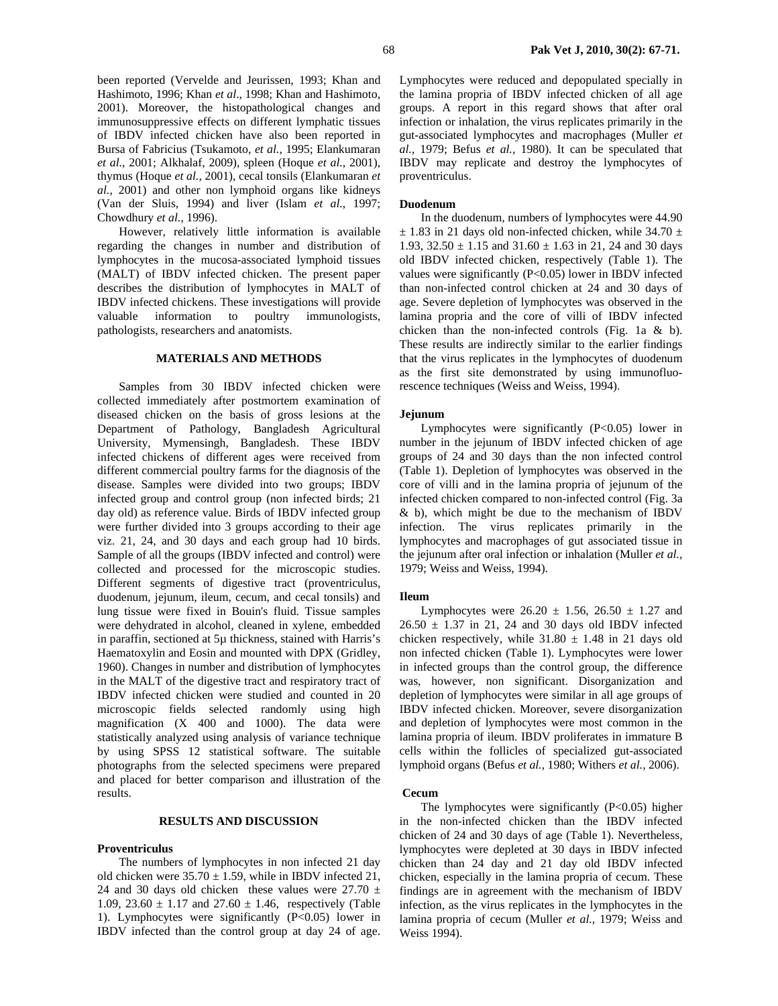been reported (Vervelde and Jeurissen, 1993; Khan and Hashimoto, 1996; Khan *et al*., 1998; Khan and Hashimoto, 2001). Moreover, the histopathological changes and immunosuppressive effects on different lymphatic tissues of IBDV infected chicken have also been reported in Bursa of Fabricius (Tsukamoto, *et al.*, 1995; Elankumaran *et al.*, 2001; Alkhalaf, 2009), spleen (Hoque *et al.*, 2001), thymus (Hoque *et al.,* 2001), cecal tonsils (Elankumaran *et al.*, 2001) and other non lymphoid organs like kidneys (Van der Sluis, 1994) and liver (Islam *et al.*, 1997; Chowdhury *et al.*, 1996).

However, relatively little information is available regarding the changes in number and distribution of lymphocytes in the mucosa-associated lymphoid tissues (MALT) of IBDV infected chicken. The present paper describes the distribution of lymphocytes in MALT of IBDV infected chickens. These investigations will provide valuable information to poultry immunologists, pathologists, researchers and anatomists.

## **MATERIALS AND METHODS**

Samples from 30 IBDV infected chicken were collected immediately after postmortem examination of diseased chicken on the basis of gross lesions at the Department of Pathology, Bangladesh Agricultural University, Mymensingh, Bangladesh. These IBDV infected chickens of different ages were received from different commercial poultry farms for the diagnosis of the disease. Samples were divided into two groups; IBDV infected group and control group (non infected birds; 21 day old) as reference value. Birds of IBDV infected group were further divided into 3 groups according to their age viz. 21, 24, and 30 days and each group had 10 birds. Sample of all the groups (IBDV infected and control) were collected and processed for the microscopic studies. Different segments of digestive tract (proventriculus, duodenum, jejunum, ileum, cecum, and cecal tonsils) and lung tissue were fixed in Bouin's fluid. Tissue samples were dehydrated in alcohol, cleaned in xylene, embedded in paraffin, sectioned at 5µ thickness, stained with Harris's Haematoxylin and Eosin and mounted with DPX (Gridley, 1960). Changes in number and distribution of lymphocytes in the MALT of the digestive tract and respiratory tract of IBDV infected chicken were studied and counted in 20 microscopic fields selected randomly using high magnification (X 400 and 1000). The data were statistically analyzed using analysis of variance technique by using SPSS 12 statistical software. The suitable photographs from the selected specimens were prepared and placed for better comparison and illustration of the results.

## **RESULTS AND DISCUSSION**

### **Proventriculus**

The numbers of lymphocytes in non infected 21 day old chicken were  $35.70 \pm 1.59$ , while in IBDV infected 21, 24 and 30 days old chicken these values were  $27.70 \pm$ 1.09, 23.60  $\pm$  1.17 and 27.60  $\pm$  1.46, respectively (Table 1). Lymphocytes were significantly (P<0.05) lower in IBDV infected than the control group at day 24 of age.

Lymphocytes were reduced and depopulated specially in the lamina propria of IBDV infected chicken of all age groups. A report in this regard shows that after oral infection or inhalation, the virus replicates primarily in the gut-associated lymphocytes and macrophages (Muller *et al.,* 1979; Befus *et al.,* 1980). It can be speculated that IBDV may replicate and destroy the lymphocytes of proventriculus.

## **Duodenum**

In the duodenum, numbers of lymphocytes were 44.90  $\pm$  1.83 in 21 days old non-infected chicken, while 34.70  $\pm$ 1.93,  $32.50 \pm 1.15$  and  $31.60 \pm 1.63$  in 21, 24 and 30 days old IBDV infected chicken, respectively (Table 1). The values were significantly (P<0.05) lower in IBDV infected than non-infected control chicken at 24 and 30 days of age. Severe depletion of lymphocytes was observed in the lamina propria and the core of villi of IBDV infected chicken than the non-infected controls (Fig. 1a & b). These results are indirectly similar to the earlier findings that the virus replicates in the lymphocytes of duodenum as the first site demonstrated by using immunofluorescence techniques (Weiss and Weiss, 1994).

# **Jejunum**

Lymphocytes were significantly  $(P<0.05)$  lower in number in the jejunum of IBDV infected chicken of age groups of 24 and 30 days than the non infected control (Table 1). Depletion of lymphocytes was observed in the core of villi and in the lamina propria of jejunum of the infected chicken compared to non-infected control (Fig. 3a & b), which might be due to the mechanism of IBDV infection. The virus replicates primarily in the lymphocytes and macrophages of gut associated tissue in the jejunum after oral infection or inhalation (Muller *et al.,* 1979; Weiss and Weiss, 1994).

#### **Ileum**

Lymphocytes were  $26.20 + 1.56$ ,  $26.50 + 1.27$  and  $26.50 \pm 1.37$  in 21, 24 and 30 days old IBDV infected chicken respectively, while  $31.80 \pm 1.48$  in 21 days old non infected chicken (Table 1). Lymphocytes were lower in infected groups than the control group, the difference was, however, non significant. Disorganization and depletion of lymphocytes were similar in all age groups of IBDV infected chicken. Moreover, severe disorganization and depletion of lymphocytes were most common in the lamina propria of ileum. IBDV proliferates in immature B cells within the follicles of specialized gut-associated lymphoid organs (Befus *et al.,* 1980; Withers *et al.,* 2006).

#### **Cecum**

The lymphocytes were significantly  $(P<0.05)$  higher in the non-infected chicken than the IBDV infected chicken of 24 and 30 days of age (Table 1). Nevertheless, lymphocytes were depleted at 30 days in IBDV infected chicken than 24 day and 21 day old IBDV infected chicken, especially in the lamina propria of cecum. These findings are in agreement with the mechanism of IBDV infection, as the virus replicates in the lymphocytes in the lamina propria of cecum (Muller *et al.,* 1979; Weiss and Weiss 1994).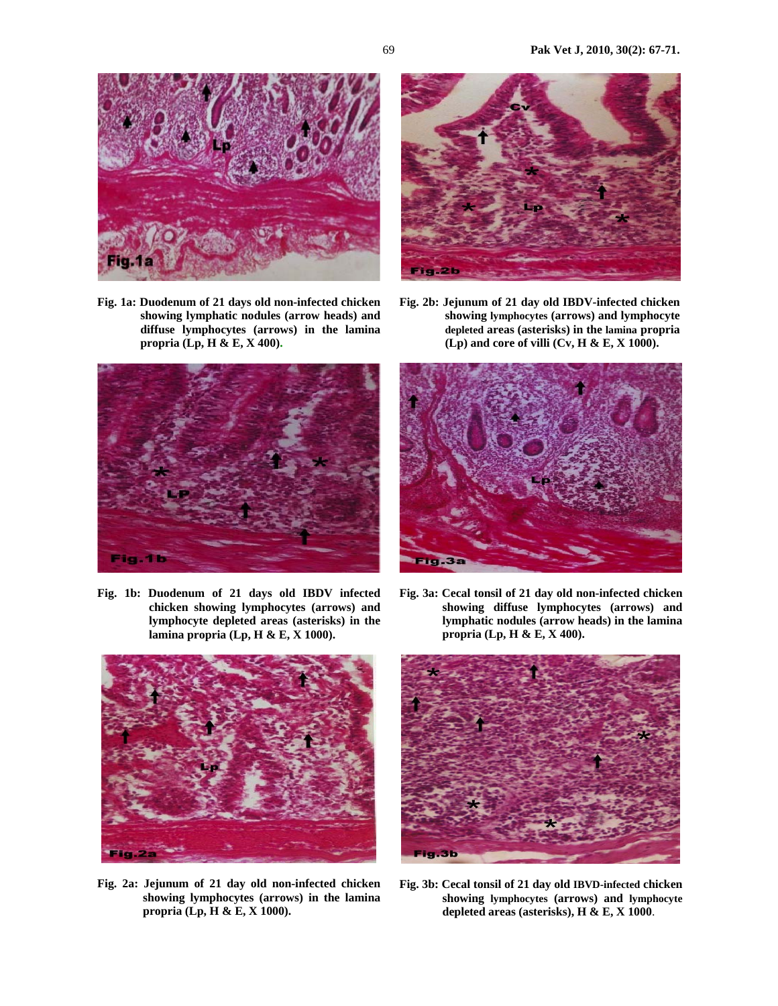

**Fig. 1a: Duodenum of 21 days old non-infected chicken showing lymphatic nodules (arrow heads) and diffuse lymphocytes (arrows) in the lamina propria (Lp, H & E, X 400).** 



**Fig. 1b: Duodenum of 21 days old IBDV infected chicken showing lymphocytes (arrows) and lymphocyte depleted areas (asterisks) in the lamina propria (Lp, H & E, X 1000).** 



**Fig. 2b: Jejunum of 21 day old IBDV-infected chicken showing lymphocytes (arrows) and lymphocyte depleted areas (asterisks) in the lamina propria (Lp) and core of villi (Cv, H & E, X 1000).** 



**Fig. 3a: Cecal tonsil of 21 day old non-infected chicken showing diffuse lymphocytes (arrows) and lymphatic nodules (arrow heads) in the lamina propria (Lp, H & E, X 400).** 



**Fig. 2a: Jejunum of 21 day old non-infected chicken showing lymphocytes (arrows) in the lamina propria (Lp, H & E, X 1000).** 



**Fig. 3b: Cecal tonsil of 21 day old IBVD-infected chicken showing lymphocytes (arrows) and lymphocyte depleted areas (asterisks), H & E, X 1000**.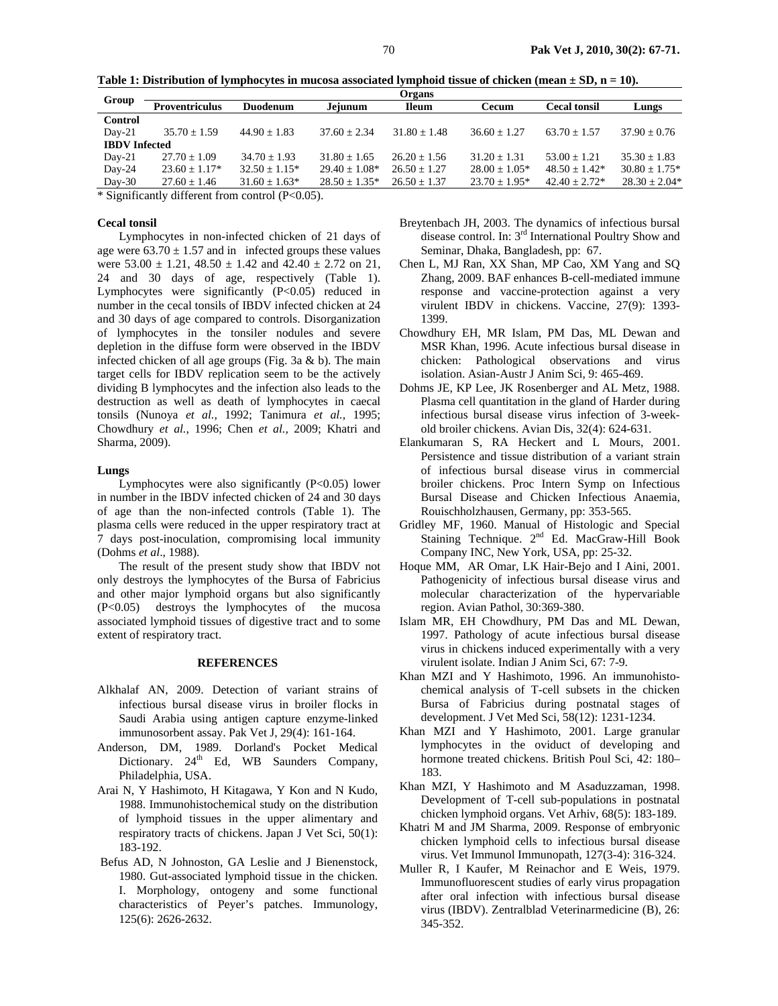| Group                | Organs                |                    |                    |                |                    |                     |                   |
|----------------------|-----------------------|--------------------|--------------------|----------------|--------------------|---------------------|-------------------|
|                      | <b>Proventriculus</b> | <b>Duodenum</b>    | Jejunum            | <b>Ileum</b>   | <b>Cecum</b>       | <b>Cecal tonsil</b> | Lungs             |
| Control              |                       |                    |                    |                |                    |                     |                   |
| $Day-21$             | $35.70 \pm 1.59$      | $44.90 \pm 1.83$   | $37.60 + 2.34$     | $31.80 + 1.48$ | $36.60 + 1.27$     | $63.70 + 1.57$      | $37.90 + 0.76$    |
| <b>IBDV</b> Infected |                       |                    |                    |                |                    |                     |                   |
| $Day-21$             | $27.70 \pm 1.09$      | $34.70 + 1.93$     | $31.80 + 1.65$     | $26.20 + 1.56$ | $31.20 + 1.31$     | $53.00 + 1.21$      | $35.30 + 1.83$    |
| Day-24               | $23.60 + 1.17*$       | $32.50 + 1.15*$    | $29.40 + 1.08*$    | $26.50 + 1.27$ | $28.00 \pm 1.05^*$ | $48.50 + 1.42*$     | $30.80 + 1.75*$   |
| $Day-30$             | $27.60 \pm 1.46$      | $31.60 \pm 1.63^*$ | $28.50 \pm 1.35^*$ | $26.50 + 1.37$ | $23.70 \pm 1.95^*$ | $42.40 + 2.72*$     | $28.30 \pm 2.04*$ |

**Table 1: Distribution of lymphocytes in mucosa associated lymphoid tissue of chicken (mean ± SD, n = 10).** 

\* Significantly different from control (P<0.05).

## **Cecal tonsil**

Lymphocytes in non-infected chicken of 21 days of age were  $63.70 \pm 1.57$  and in infected groups these values were  $53.00 \pm 1.21$ ,  $48.50 \pm 1.42$  and  $42.40 \pm 2.72$  on 21, 24 and 30 days of age, respectively (Table 1). Lymphocytes were significantly  $(P<0.05)$  reduced in number in the cecal tonsils of IBDV infected chicken at 24 and 30 days of age compared to controls. Disorganization of lymphocytes in the tonsiler nodules and severe depletion in the diffuse form were observed in the IBDV infected chicken of all age groups (Fig. 3a  $\&$  b). The main target cells for IBDV replication seem to be the actively dividing B lymphocytes and the infection also leads to the destruction as well as death of lymphocytes in caecal tonsils (Nunoya *et al.,* 1992; Tanimura *et al.,* 1995; Chowdhury *et al.,* 1996; Chen *et al.,* 2009; Khatri and Sharma, 2009).

## **Lungs**

Lymphocytes were also significantly  $(P<0.05)$  lower in number in the IBDV infected chicken of 24 and 30 days of age than the non-infected controls (Table 1). The plasma cells were reduced in the upper respiratory tract at 7 days post-inoculation, compromising local immunity (Dohms *et al*., 1988).

The result of the present study show that IBDV not only destroys the lymphocytes of the Bursa of Fabricius and other major lymphoid organs but also significantly (P<0.05) destroys the lymphocytes of the mucosa associated lymphoid tissues of digestive tract and to some extent of respiratory tract.

## **REFERENCES**

- Alkhalaf AN, 2009. Detection of variant strains of infectious bursal disease virus in broiler flocks in Saudi Arabia using antigen capture enzyme-linked immunosorbent assay. Pak Vet J, 29(4): 161-164.
- Anderson, DM, 1989. Dorland's Pocket Medical Dictionary.  $24<sup>th</sup>$  Ed, WB Saunders Company, Philadelphia, USA.
- Arai N, Y Hashimoto, H Kitagawa, Y Kon and N Kudo, 1988. Immunohistochemical study on the distribution of lymphoid tissues in the upper alimentary and respiratory tracts of chickens. Japan J Vet Sci, 50(1): 183-192.
- Befus AD, N Johnoston, GA Leslie and J Bienenstock, 1980. Gut-associated lymphoid tissue in the chicken. I. Morphology, ontogeny and some functional characteristics of Peyer's patches. Immunology, 125(6): 2626-2632.
- Breytenbach JH, 2003. The dynamics of infectious bursal disease control. In: 3rd International Poultry Show and Seminar, Dhaka, Bangladesh, pp: 67.
- Chen L, MJ Ran, XX Shan, MP Cao, XM Yang and SQ Zhang, 2009. BAF enhances B-cell-mediated immune response and vaccine-protection against a very virulent IBDV in chickens. Vaccine, 27(9): 1393- 1399.
- Chowdhury EH, MR Islam, PM Das, ML Dewan and MSR Khan, 1996. Acute infectious bursal disease in chicken: Pathological observations and virus isolation. Asian-Austr J Anim Sci, 9: 465-469.
- Dohms JE, KP Lee, JK Rosenberger and AL Metz, 1988. Plasma cell quantitation in the gland of Harder during infectious bursal disease virus infection of 3-weekold broiler chickens. Avian Dis, 32(4): 624-631.
- Elankumaran S, RA Heckert and L Mours, 2001. Persistence and tissue distribution of a variant strain of infectious bursal disease virus in commercial broiler chickens. Proc Intern Symp on Infectious Bursal Disease and Chicken Infectious Anaemia, Rouischholzhausen, Germany, pp: 353-565.
- Gridley MF, 1960. Manual of Histologic and Special Staining Technique.  $2^{nd}$  Ed. MacGraw-Hill Book Company INC, New York, USA, pp: 25-32.
- Hoque MM, AR Omar, LK Hair-Bejo and I Aini, 2001. Pathogenicity of infectious bursal disease virus and molecular characterization of the hypervariable region. Avian Pathol, 30:369-380.
- Islam MR, EH Chowdhury, PM Das and ML Dewan, 1997. Pathology of acute infectious bursal disease virus in chickens induced experimentally with a very virulent isolate. Indian J Anim Sci, 67: 7-9.
- Khan MZI and Y Hashimoto, 1996. An immunohistochemical analysis of T-cell subsets in the chicken Bursa of Fabricius during postnatal stages of development. J Vet Med Sci, 58(12): 1231-1234.
- Khan MZI and Y Hashimoto, 2001. Large granular lymphocytes in the oviduct of developing and hormone treated chickens. British Poul Sci, 42: 180– 183.
- Khan MZI, Y Hashimoto and M Asaduzzaman, 1998. Development of T-cell sub-populations in postnatal chicken lymphoid organs. Vet Arhiv, 68(5): 183-189.
- Khatri M and JM Sharma, 2009. Response of embryonic chicken lymphoid cells to infectious bursal disease virus. Vet Immunol Immunopath, 127(3-4): 316-324.
- Muller R, I Kaufer, M Reinachor and E Weis, 1979. Immunofluorescent studies of early virus propagation after oral infection with infectious bursal disease virus (IBDV). Zentralblad Veterinarmedicine (B), 26: 345-352.